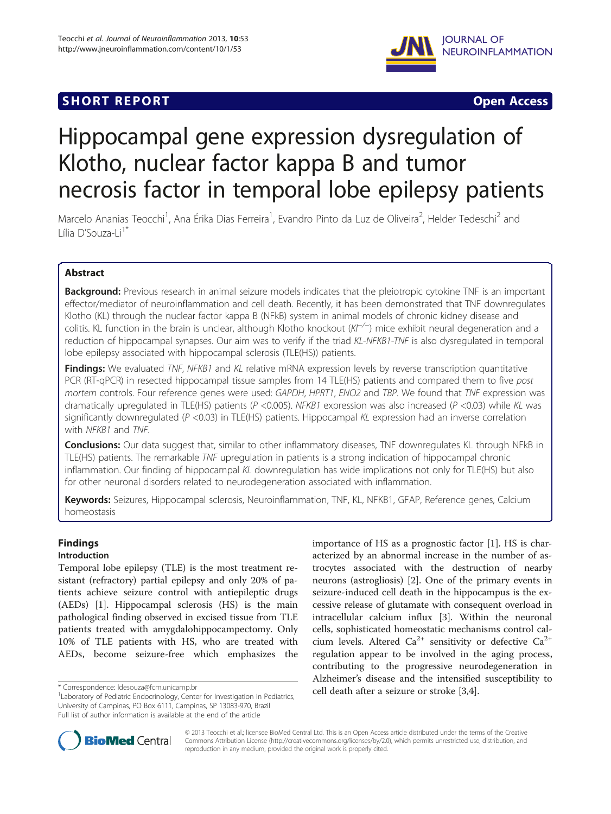# **SHORT REPORT SHORT CONSUMING THE CONSUMING THE CONSUMING THE CONSUMING THE CONSUMING THE CONSUMING THE CONSUMING THE CONSUMING THE CONSUMING THE CONSUMING THE CONSUMING THE CONSUMING THE CONSUMING THE CONSUMING THE CO**



# Hippocampal gene expression dysregulation of Klotho, nuclear factor kappa B and tumor necrosis factor in temporal lobe epilepsy patients

Marcelo Ananias Teocchi<sup>1</sup>, Ana Érika Dias Ferreira<sup>1</sup>, Evandro Pinto da Luz de Oliveira<sup>2</sup>, Helder Tedeschi<sup>2</sup> and Lília D'Souza-Li<sup>1\*</sup>

# Abstract

Background: Previous research in animal seizure models indicates that the pleiotropic cytokine TNF is an important effector/mediator of neuroinflammation and cell death. Recently, it has been demonstrated that TNF downregulates Klotho (KL) through the nuclear factor kappa B (NFkB) system in animal models of chronic kidney disease and colitis. KL function in the brain is unclear, although Klotho knockout (Kl<sup>−/−</sup>) mice exhibit neural degeneration and a reduction of hippocampal synapses. Our aim was to verify if the triad KL-NFKB1-TNF is also dysregulated in temporal lobe epilepsy associated with hippocampal sclerosis (TLE(HS)) patients.

Findings: We evaluated TNF, NFKB1 and KL relative mRNA expression levels by reverse transcription quantitative PCR (RT-qPCR) in resected hippocampal tissue samples from 14 TLE(HS) patients and compared them to five post mortem controls. Four reference genes were used: GAPDH, HPRT1, ENO2 and TBP. We found that TNF expression was dramatically upregulated in TLE(HS) patients ( $P < 0.005$ ). NFKB1 expression was also increased ( $P < 0.03$ ) while KL was significantly downregulated (P <0.03) in TLE(HS) patients. Hippocampal KL expression had an inverse correlation with NFKB1 and TNF.

Conclusions: Our data suggest that, similar to other inflammatory diseases, TNF downregulates KL through NFkB in TLE(HS) patients. The remarkable TNF upregulation in patients is a strong indication of hippocampal chronic inflammation. Our finding of hippocampal KL downregulation has wide implications not only for TLE(HS) but also for other neuronal disorders related to neurodegeneration associated with inflammation.

Keywords: Seizures, Hippocampal sclerosis, Neuroinflammation, TNF, KL, NFKB1, GFAP, Reference genes, Calcium homeostasis

# Findings

# Introduction

Temporal lobe epilepsy (TLE) is the most treatment resistant (refractory) partial epilepsy and only 20% of patients achieve seizure control with antiepileptic drugs (AEDs) [[1\]](#page-6-0). Hippocampal sclerosis (HS) is the main pathological finding observed in excised tissue from TLE patients treated with amygdalohippocampectomy. Only 10% of TLE patients with HS, who are treated with AEDs, become seizure-free which emphasizes the

importance of HS as a prognostic factor [\[1\]](#page-6-0). HS is characterized by an abnormal increase in the number of astrocytes associated with the destruction of nearby neurons (astrogliosis) [[2](#page-6-0)]. One of the primary events in seizure-induced cell death in the hippocampus is the excessive release of glutamate with consequent overload in intracellular calcium influx [\[3](#page-6-0)]. Within the neuronal cells, sophisticated homeostatic mechanisms control calcium levels. Altered Ca<sup>2+</sup> sensitivity or defective Ca<sup>2+</sup> regulation appear to be involved in the aging process, contributing to the progressive neurodegeneration in Alzheimer's disease and the intensified susceptibility to \*Correspondence: Idesouza@fcm.unicamp.br<br>- <sup>1</sup> Correspondence: Idesouza@fcm.unicamp.br 1.1 and 1.1 and 1.1 and 1.1 and 1.1 and 1.1 and 1.1 and 1.1 and 1.1 and 1.1 and 1.1 and 1.1 and 1.1 and 1.1 and 1.1 and 1.1 and 1.1 and



© 2013 Teocchi et al.; licensee BioMed Central Ltd. This is an Open Access article distributed under the terms of the Creative Commons Attribution License [\(http://creativecommons.org/licenses/by/2.0\)](http://creativecommons.org/licenses/by/2.0), which permits unrestricted use, distribution, and reproduction in any medium, provided the original work is properly cited.

<sup>&</sup>lt;sup>1</sup> Laboratory of Pediatric Endocrinology, Center for Investigation in Pediatrics, University of Campinas, PO Box 6111, Campinas, SP 13083-970, Brazil Full list of author information is available at the end of the article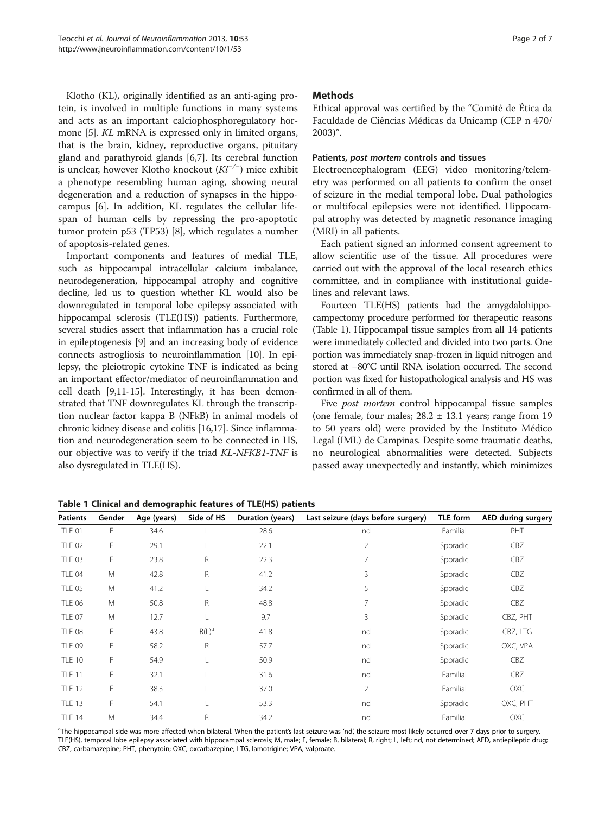<span id="page-1-0"></span>Klotho (KL), originally identified as an anti-aging protein, is involved in multiple functions in many systems and acts as an important calciophosphoregulatory hormone [[5\]](#page-6-0). KL mRNA is expressed only in limited organs, that is the brain, kidney, reproductive organs, pituitary gland and parathyroid glands [\[6,7](#page-6-0)]. Its cerebral function is unclear, however Klotho knockout  $(Kl^{-/-})$  mice exhibit a phenotype resembling human aging, showing neural degeneration and a reduction of synapses in the hippocampus [[6\]](#page-6-0). In addition, KL regulates the cellular lifespan of human cells by repressing the pro-apoptotic tumor protein p53 (TP53) [[8\]](#page-6-0), which regulates a number of apoptosis-related genes.

Important components and features of medial TLE, such as hippocampal intracellular calcium imbalance, neurodegeneration, hippocampal atrophy and cognitive decline, led us to question whether KL would also be downregulated in temporal lobe epilepsy associated with hippocampal sclerosis (TLE(HS)) patients. Furthermore, several studies assert that inflammation has a crucial role in epileptogenesis [[9\]](#page-6-0) and an increasing body of evidence connects astrogliosis to neuroinflammation [[10](#page-6-0)]. In epilepsy, the pleiotropic cytokine TNF is indicated as being an important effector/mediator of neuroinflammation and cell death [[9,11](#page-6-0)-[15](#page-6-0)]. Interestingly, it has been demonstrated that TNF downregulates KL through the transcription nuclear factor kappa B (NFkB) in animal models of chronic kidney disease and colitis [\[16,17](#page-6-0)]. Since inflammation and neurodegeneration seem to be connected in HS, our objective was to verify if the triad KL-NFKB1-TNF is also dysregulated in TLE(HS).

## **Methods**

Ethical approval was certified by the "Comitê de Ética da Faculdade de Ciências Médicas da Unicamp (CEP n 470/ 2003)".

## Patients, post mortem controls and tissues

Electroencephalogram (EEG) video monitoring/telemetry was performed on all patients to confirm the onset of seizure in the medial temporal lobe. Dual pathologies or multifocal epilepsies were not identified. Hippocampal atrophy was detected by magnetic resonance imaging (MRI) in all patients.

Each patient signed an informed consent agreement to allow scientific use of the tissue. All procedures were carried out with the approval of the local research ethics committee, and in compliance with institutional guidelines and relevant laws.

Fourteen TLE(HS) patients had the amygdalohippocampectomy procedure performed for therapeutic reasons (Table 1). Hippocampal tissue samples from all 14 patients were immediately collected and divided into two parts. One portion was immediately snap-frozen in liquid nitrogen and stored at −80°C until RNA isolation occurred. The second portion was fixed for histopathological analysis and HS was confirmed in all of them.

Five *post mortem* control hippocampal tissue samples (one female, four males;  $28.2 \pm 13.1$  years; range from 19 to 50 years old) were provided by the Instituto Médico Legal (IML) de Campinas. Despite some traumatic deaths, no neurological abnormalities were detected. Subjects passed away unexpectedly and instantly, which minimizes

| <b>Patients</b> | Gender | Age (years) | Side of HS | Duration (years) | Last seizure (days before surgery) | TLE form | <b>AED during surgery</b> |
|-----------------|--------|-------------|------------|------------------|------------------------------------|----------|---------------------------|
| <b>TLE 01</b>   | F      | 34.6        | L          | 28.6             | nd                                 | Familial | PHT                       |
| <b>TLE 02</b>   | F      | 29.1        | L          | 22.1             | $\overline{2}$                     | Sporadic | CBZ                       |
| <b>TLE 03</b>   | F      | 23.8        | R          | 22.3             | 7                                  | Sporadic | CBZ                       |
| <b>TLE 04</b>   | M      | 42.8        | R          | 41.2             | 3                                  | Sporadic | CBZ                       |
| <b>TLE 05</b>   | M      | 41.2        | L          | 34.2             | 5                                  | Sporadic | CBZ                       |
| <b>TLE 06</b>   | M      | 50.8        | R          | 48.8             | 7                                  | Sporadic | CBZ                       |
| <b>TLE 07</b>   | M      | 12.7        | L          | 9.7              | 3                                  | Sporadic | CBZ, PHT                  |
| <b>TLE 08</b>   | F      | 43.8        | $B(L)^a$   | 41.8             | nd                                 | Sporadic | CBZ, LTG                  |
| <b>TLE 09</b>   | F.     | 58.2        | R          | 57.7             | nd                                 | Sporadic | OXC, VPA                  |
| <b>TLE 10</b>   | F      | 54.9        | L          | 50.9             | nd                                 | Sporadic | CBZ                       |
| <b>TLE 11</b>   | F      | 32.1        | L          | 31.6             | nd                                 | Familial | CBZ                       |
| <b>TLE 12</b>   | F      | 38.3        | L          | 37.0             | $\overline{2}$                     | Familial | OXC                       |
| <b>TLE 13</b>   | F      | 54.1        | L          | 53.3             | nd                                 | Sporadic | OXC, PHT                  |
| <b>TLE 14</b>   | M      | 34.4        | R          | 34.2             | nd                                 | Familial | OXC                       |

Table 1 Clinical and demographic features of TLE(HS) patients

<sup>a</sup>The hippocampal side was more affected when bilateral. When the patient's last seizure was 'nd', the seizure most likely occurred over 7 days prior to surgery. TLE(HS), temporal lobe epilepsy associated with hippocampal sclerosis; M, male; F, female; B, bilateral; R, right; L, left; nd, not determined; AED, antiepileptic drug; CBZ, carbamazepine; PHT, phenytoin; OXC, oxcarbazepine; LTG, lamotrigine; VPA, valproate.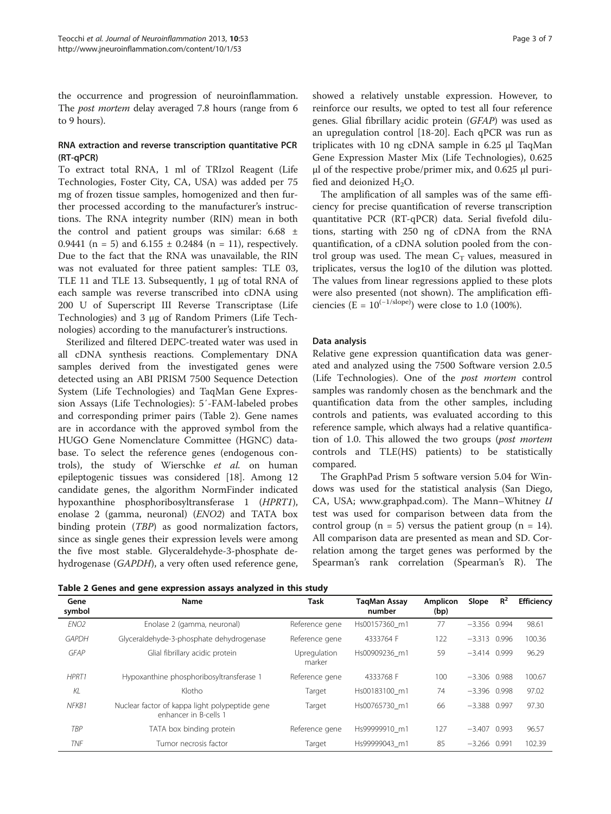the occurrence and progression of neuroinflammation. The *post mortem* delay averaged 7.8 hours (range from 6 to 9 hours).

# RNA extraction and reverse transcription quantitative PCR (RT-qPCR)

To extract total RNA, 1 ml of TRIzol Reagent (Life Technologies, Foster City, CA, USA) was added per 75 mg of frozen tissue samples, homogenized and then further processed according to the manufacturer's instructions. The RNA integrity number (RIN) mean in both the control and patient groups was similar:  $6.68 \pm$ 0.9441 (n = 5) and  $6.155 \pm 0.2484$  (n = 11), respectively. Due to the fact that the RNA was unavailable, the RIN was not evaluated for three patient samples: TLE 03, TLE 11 and TLE 13. Subsequently, 1 μg of total RNA of each sample was reverse transcribed into cDNA using 200 U of Superscript III Reverse Transcriptase (Life Technologies) and 3 μg of Random Primers (Life Technologies) according to the manufacturer's instructions.

Sterilized and filtered DEPC-treated water was used in all cDNA synthesis reactions. Complementary DNA samples derived from the investigated genes were detected using an ABI PRISM 7500 Sequence Detection System (Life Technologies) and TaqMan Gene Expression Assays (Life Technologies): 5′-FAM-labeled probes and corresponding primer pairs (Table 2). Gene names are in accordance with the approved symbol from the HUGO Gene Nomenclature Committee (HGNC) database. To select the reference genes (endogenous controls), the study of Wierschke et al. on human epileptogenic tissues was considered [\[18](#page-6-0)]. Among 12 candidate genes, the algorithm NormFinder indicated hypoxanthine phosphoribosyltransferase 1 (HPRT1), enolase 2 (gamma, neuronal) (ENO2) and TATA box binding protein (TBP) as good normalization factors, since as single genes their expression levels were among the five most stable. Glyceraldehyde-3-phosphate dehydrogenase (GAPDH), a very often used reference gene,

showed a relatively unstable expression. However, to reinforce our results, we opted to test all four reference genes. Glial fibrillary acidic protein (GFAP) was used as an upregulation control [\[18](#page-6-0)-[20](#page-6-0)]. Each qPCR was run as triplicates with 10 ng cDNA sample in 6.25 μl TaqMan Gene Expression Master Mix (Life Technologies), 0.625 μl of the respective probe/primer mix, and 0.625 μl purified and deionized  $H_2O$ .

The amplification of all samples was of the same efficiency for precise quantification of reverse transcription quantitative PCR (RT-qPCR) data. Serial fivefold dilutions, starting with 250 ng of cDNA from the RNA quantification, of a cDNA solution pooled from the control group was used. The mean  $C_T$  values, measured in triplicates, versus the log10 of the dilution was plotted. The values from linear regressions applied to these plots were also presented (not shown). The amplification efficiencies (E =  $10^{(-1/\text{slope})}$ ) were close to 1.0 (100%).

# Data analysis

Relative gene expression quantification data was generated and analyzed using the 7500 Software version 2.0.5 (Life Technologies). One of the post mortem control samples was randomly chosen as the benchmark and the quantification data from the other samples, including controls and patients, was evaluated according to this reference sample, which always had a relative quantification of 1.0. This allowed the two groups (post mortem controls and TLE(HS) patients) to be statistically compared.

The GraphPad Prism 5 software version 5.04 for Windows was used for the statistical analysis (San Diego, CA, USA; [www.graphpad.com\)](http://www.graphpad.com/). The Mann–Whitney U test was used for comparison between data from the control group  $(n = 5)$  versus the patient group  $(n = 14)$ . All comparison data are presented as mean and SD. Correlation among the target genes was performed by the Spearman's rank correlation (Spearman's R). The

| Table 2 Genes and gene expression assays analyzed in this study |  |  |  |  |  |  |  |  |
|-----------------------------------------------------------------|--|--|--|--|--|--|--|--|
|-----------------------------------------------------------------|--|--|--|--|--|--|--|--|

| Gene<br>symbol   | Name                                                                    | Task                   | <b>TagMan Assay</b><br>number | <b>Amplicon</b><br>(bp) | Slope          | $R^2$ | Efficiency |
|------------------|-------------------------------------------------------------------------|------------------------|-------------------------------|-------------------------|----------------|-------|------------|
| FNO <sub>2</sub> | Enolase 2 (gamma, neuronal)                                             | Reference gene         | Hs00157360 m1                 | 77                      | $-3.356$ 0.994 |       | 98.61      |
| <b>GAPDH</b>     | Glyceraldehyde-3-phosphate dehydrogenase                                | Reference gene         | 4333764 F                     | 122                     | $-3.313$ 0.996 |       | 100.36     |
| <b>GFAP</b>      | Glial fibrillary acidic protein                                         | Upregulation<br>marker | Hs00909236 m1                 | 59                      | $-3.414$ 0.999 |       | 96.29      |
| HPRT1            | Hypoxanthine phosphoribosyltransferase 1                                | Reference gene         | 4333768 F                     | 100                     | $-3.306$ 0.988 |       | 100.67     |
| KL               | Klotho                                                                  | Target                 | Hs00183100 m1                 | 74                      | $-3.396$ 0.998 |       | 97.02      |
| NFKB1            | Nuclear factor of kappa light polypeptide gene<br>enhancer in B-cells 1 | Target                 | Hs00765730 m1                 | 66                      | $-3.388$ 0.997 |       | 97.30      |
| TBP              | TATA box binding protein                                                | Reference gene         | Hs99999910 m1                 | 127                     | $-3.407$ 0.993 |       | 96.57      |
| <b>TNF</b>       | Tumor necrosis factor                                                   | Target                 | Hs99999043 m1                 | 85                      | $-3.266$ 0.991 |       | 102.39     |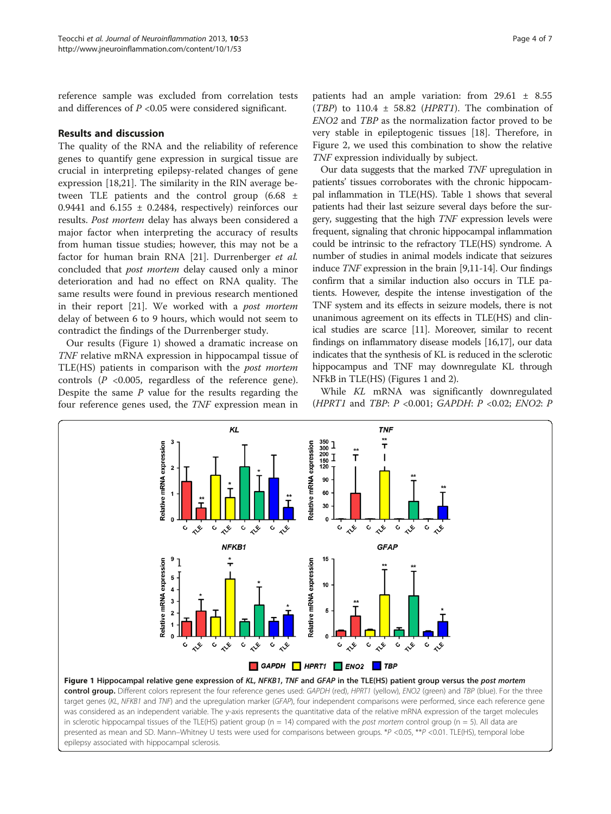<span id="page-3-0"></span>reference sample was excluded from correlation tests and differences of  $P < 0.05$  were considered significant.

## Results and discussion

The quality of the RNA and the reliability of reference genes to quantify gene expression in surgical tissue are crucial in interpreting epilepsy-related changes of gene expression [\[18,21\]](#page-6-0). The similarity in the RIN average between TLE patients and the control group (6.68 ± 0.9441 and  $6.155 \pm 0.2484$ , respectively) reinforces our results. Post mortem delay has always been considered a major factor when interpreting the accuracy of results from human tissue studies; however, this may not be a factor for human brain RNA [\[21](#page-6-0)]. Durrenberger et al. concluded that post mortem delay caused only a minor deterioration and had no effect on RNA quality. The same results were found in previous research mentioned in their report [\[21](#page-6-0)]. We worked with a post mortem delay of between 6 to 9 hours, which would not seem to contradict the findings of the Durrenberger study.

Our results (Figure 1) showed a dramatic increase on TNF relative mRNA expression in hippocampal tissue of TLE(HS) patients in comparison with the post mortem controls  $(P \le 0.005$ , regardless of the reference gene). Despite the same  $P$  value for the results regarding the four reference genes used, the TNF expression mean in

patients had an ample variation: from  $29.61 \pm 8.55$ (TBP) to  $110.4 \pm 58.82$  (HPRT1). The combination of ENO2 and TBP as the normalization factor proved to be very stable in epileptogenic tissues [[18\]](#page-6-0). Therefore, in Figure [2](#page-4-0), we used this combination to show the relative TNF expression individually by subject.

Our data suggests that the marked TNF upregulation in patients' tissues corroborates with the chronic hippocampal inflammation in TLE(HS). Table [1](#page-1-0) shows that several patients had their last seizure several days before the surgery, suggesting that the high TNF expression levels were frequent, signaling that chronic hippocampal inflammation could be intrinsic to the refractory TLE(HS) syndrome. A number of studies in animal models indicate that seizures induce TNF expression in the brain [\[9,11](#page-6-0)-[14](#page-6-0)]. Our findings confirm that a similar induction also occurs in TLE patients. However, despite the intense investigation of the TNF system and its effects in seizure models, there is not unanimous agreement on its effects in TLE(HS) and clinical studies are scarce [\[11\]](#page-6-0). Moreover, similar to recent findings on inflammatory disease models [\[16,17](#page-6-0)], our data indicates that the synthesis of KL is reduced in the sclerotic hippocampus and TNF may downregulate KL through NFkB in TLE(HS) (Figures 1 and [2](#page-4-0)).

While KL mRNA was significantly downregulated (HPRT1 and TBP: P <0.001; GAPDH: P <0.02; ENO2: P



target genes (KL, NFKB1 and TNF) and the upregulation marker (GFAP), four independent comparisons were performed, since each reference gene was considered as an independent variable. The y-axis represents the quantitative data of the relative mRNA expression of the target molecules in sclerotic hippocampal tissues of the TLE(HS) patient group ( $n = 14$ ) compared with the post mortem control group ( $n = 5$ ). All data are presented as mean and SD. Mann–Whitney U tests were used for comparisons between groups. \*P <0.05, \*\*P <0.01. TLE(HS), temporal lobe epilepsy associated with hippocampal sclerosis.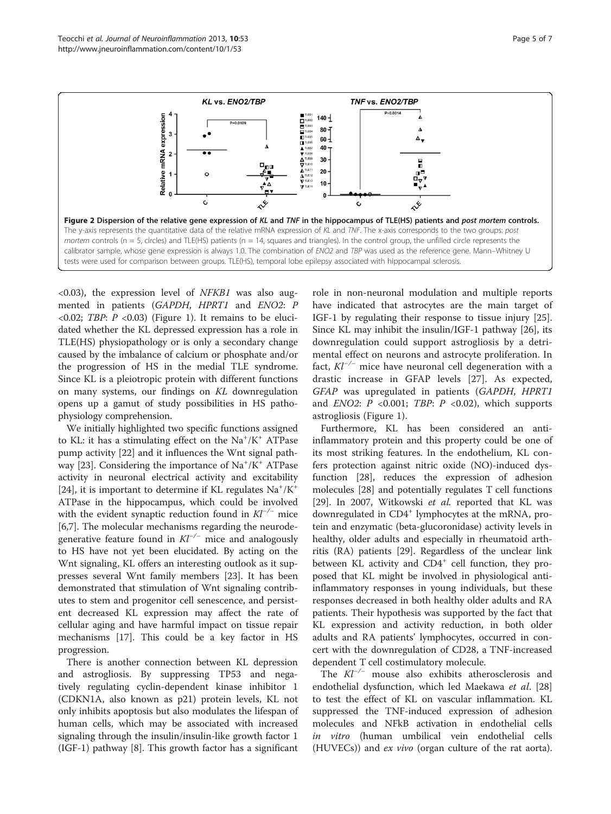<span id="page-4-0"></span>

 $(0.03)$ , the expression level of NFKB1 was also augmented in patients (GAPDH, HPRT1 and ENO2: P  $\langle 0.02; TBP: P \langle 0.03 \rangle$  (Figure [1\)](#page-3-0). It remains to be elucidated whether the KL depressed expression has a role in TLE(HS) physiopathology or is only a secondary change caused by the imbalance of calcium or phosphate and/or the progression of HS in the medial TLE syndrome. Since KL is a pleiotropic protein with different functions on many systems, our findings on KL downregulation opens up a gamut of study possibilities in HS pathophysiology comprehension.

We initially highlighted two specific functions assigned to KL: it has a stimulating effect on the Na<sup>+</sup>/K<sup>+</sup> ATPase pump activity [[22\]](#page-6-0) and it influences the Wnt signal path-way [[23](#page-6-0)]. Considering the importance of Na<sup>+</sup>/K<sup>+</sup> ATPase activity in neuronal electrical activity and excitability [[24\]](#page-6-0), it is important to determine if KL regulates  $Na^+/K^+$ ATPase in the hippocampus, which could be involved with the evident synaptic reduction found in  $Kl^{-/-}$  mice [[6,7\]](#page-6-0). The molecular mechanisms regarding the neurodegenerative feature found in  $Kl^{-/-}$  mice and analogously to HS have not yet been elucidated. By acting on the Wnt signaling, KL offers an interesting outlook as it suppresses several Wnt family members [[23\]](#page-6-0). It has been demonstrated that stimulation of Wnt signaling contributes to stem and progenitor cell senescence, and persistent decreased KL expression may affect the rate of cellular aging and have harmful impact on tissue repair mechanisms [\[17](#page-6-0)]. This could be a key factor in HS progression.

There is another connection between KL depression and astrogliosis. By suppressing TP53 and negatively regulating cyclin-dependent kinase inhibitor 1 (CDKN1A, also known as p21) protein levels, KL not only inhibits apoptosis but also modulates the lifespan of human cells, which may be associated with increased signaling through the insulin/insulin-like growth factor 1 (IGF-1) pathway [[8](#page-6-0)]. This growth factor has a significant

role in non-neuronal modulation and multiple reports have indicated that astrocytes are the main target of IGF-1 by regulating their response to tissue injury [\[25](#page-6-0)]. Since KL may inhibit the insulin/IGF-1 pathway [[26](#page-6-0)], its downregulation could support astrogliosis by a detrimental effect on neurons and astrocyte proliferation. In fact,  $Kl^{-/-}$  mice have neuronal cell degeneration with a drastic increase in GFAP levels [\[27\]](#page-6-0). As expected, GFAP was upregulated in patients (GAPDH, HPRT1 and  $ENO2$ :  $P \le 0.001$ ; TBP:  $P \le 0.02$ ), which supports astrogliosis (Figure [1\)](#page-3-0).

Furthermore, KL has been considered an antiinflammatory protein and this property could be one of its most striking features. In the endothelium, KL confers protection against nitric oxide (NO)-induced dysfunction [\[28](#page-6-0)], reduces the expression of adhesion molecules [\[28](#page-6-0)] and potentially regulates T cell functions [[29\]](#page-6-0). In 2007, Witkowski et al. reported that KL was downregulated in CD4<sup>+</sup> lymphocytes at the mRNA, protein and enzymatic (beta-glucoronidase) activity levels in healthy, older adults and especially in rheumatoid arthritis (RA) patients [[29\]](#page-6-0). Regardless of the unclear link between KL activity and CD4<sup>+</sup> cell function, they proposed that KL might be involved in physiological antiinflammatory responses in young individuals, but these responses decreased in both healthy older adults and RA patients. Their hypothesis was supported by the fact that KL expression and activity reduction, in both older adults and RA patients' lymphocytes, occurred in concert with the downregulation of CD28, a TNF-increased dependent T cell costimulatory molecule.

The Kl−/<sup>−</sup> mouse also exhibits atherosclerosis and endothelial dysfunction, which led Maekawa et al. [[28](#page-6-0)] to test the effect of KL on vascular inflammation. KL suppressed the TNF-induced expression of adhesion molecules and NFkB activation in endothelial cells in vitro (human umbilical vein endothelial cells (HUVECs)) and ex vivo (organ culture of the rat aorta).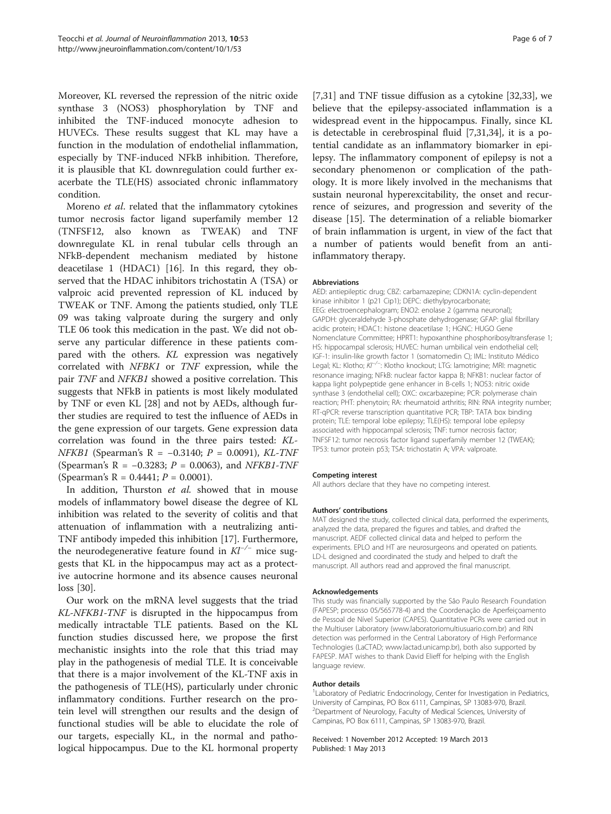Moreover, KL reversed the repression of the nitric oxide synthase 3 (NOS3) phosphorylation by TNF and inhibited the TNF-induced monocyte adhesion to HUVECs. These results suggest that KL may have a function in the modulation of endothelial inflammation, especially by TNF-induced NFkB inhibition. Therefore, it is plausible that KL downregulation could further exacerbate the TLE(HS) associated chronic inflammatory condition.

Moreno et al. related that the inflammatory cytokines tumor necrosis factor ligand superfamily member 12 (TNFSF12, also known as TWEAK) and TNF downregulate KL in renal tubular cells through an NFkB-dependent mechanism mediated by histone deacetilase 1 (HDAC1) [[16\]](#page-6-0). In this regard, they observed that the HDAC inhibitors trichostatin A (TSA) or valproic acid prevented repression of KL induced by TWEAK or TNF. Among the patients studied, only TLE 09 was taking valproate during the surgery and only TLE 06 took this medication in the past. We did not observe any particular difference in these patients compared with the others. KL expression was negatively correlated with NFBK1 or TNF expression, while the pair TNF and NFKB1 showed a positive correlation. This suggests that NFkB in patients is most likely modulated by TNF or even KL [[28\]](#page-6-0) and not by AEDs, although further studies are required to test the influence of AEDs in the gene expression of our targets. Gene expression data correlation was found in the three pairs tested: KL- $NFKB1$  (Spearman's R = -0.3140; P = 0.0091), KL-TNF (Spearman's R =  $-0.3283$ ;  $P = 0.0063$ ), and NFKB1-TNF (Spearman's  $R = 0.4441$ ;  $P = 0.0001$ ).

In addition, Thurston et al. showed that in mouse models of inflammatory bowel disease the degree of KL inhibition was related to the severity of colitis and that attenuation of inflammation with a neutralizing anti-TNF antibody impeded this inhibition [\[17](#page-6-0)]. Furthermore, the neurodegenerative feature found in  $Kl^{-/-}$  mice suggests that KL in the hippocampus may act as a protective autocrine hormone and its absence causes neuronal loss [\[30\]](#page-6-0).

Our work on the mRNA level suggests that the triad KL-NFKB1-TNF is disrupted in the hippocampus from medically intractable TLE patients. Based on the KL function studies discussed here, we propose the first mechanistic insights into the role that this triad may play in the pathogenesis of medial TLE. It is conceivable that there is a major involvement of the KL-TNF axis in the pathogenesis of TLE(HS), particularly under chronic inflammatory conditions. Further research on the protein level will strengthen our results and the design of functional studies will be able to elucidate the role of our targets, especially KL, in the normal and pathological hippocampus. Due to the KL hormonal property

[[7,31\]](#page-6-0) and TNF tissue diffusion as a cytokine [[32,33\]](#page-6-0), we believe that the epilepsy-associated inflammation is a widespread event in the hippocampus. Finally, since KL is detectable in cerebrospinal fluid [\[7](#page-6-0),[31](#page-6-0),[34](#page-6-0)], it is a potential candidate as an inflammatory biomarker in epilepsy. The inflammatory component of epilepsy is not a secondary phenomenon or complication of the pathology. It is more likely involved in the mechanisms that sustain neuronal hyperexcitability, the onset and recurrence of seizures, and progression and severity of the disease [[15](#page-6-0)]. The determination of a reliable biomarker of brain inflammation is urgent, in view of the fact that a number of patients would benefit from an antiinflammatory therapy.

#### Abbreviations

AED: antiepileptic drug; CBZ: carbamazepine; CDKN1A: cyclin-dependent kinase inhibitor 1 (p21 Cip1); DEPC: diethylpyrocarbonate; EEG: electroencephalogram; ENO2: enolase 2 (gamma neuronal); GAPDH: glyceraldehyde 3-phosphate dehydrogenase; GFAP: glial fibrillary acidic protein; HDAC1: histone deacetilase 1; HGNC: HUGO Gene Nomenclature Committee; HPRT1: hypoxanthine phosphoribosyltransferase 1; HS: hippocampal sclerosis; HUVEC: human umbilical vein endothelial cell; IGF-1: insulin-like growth factor 1 (somatomedin C); IML: Instituto Médico Legal; KL: Klotho; KI<sup>-/−</sup>: Klotho knockout; LTG: lamotrigine; MRI: magnetic resonance imaging; NFkB: nuclear factor kappa B; NFKB1: nuclear factor of kappa light polypeptide gene enhancer in B-cells 1; NOS3: nitric oxide synthase 3 (endothelial cell); OXC: oxcarbazepine; PCR: polymerase chain reaction; PHT: phenytoin; RA: rheumatoid arthritis; RIN: RNA integrity number; RT-qPCR: reverse transcription quantitative PCR; TBP: TATA box binding protein; TLE: temporal lobe epilepsy; TLE(HS): temporal lobe epilepsy associated with hippocampal sclerosis; TNF: tumor necrosis factor; TNFSF12: tumor necrosis factor ligand superfamily member 12 (TWEAK); TP53: tumor protein p53; TSA: trichostatin A; VPA: valproate.

#### Competing interest

All authors declare that they have no competing interest.

#### Authors' contributions

MAT designed the study, collected clinical data, performed the experiments, analyzed the data, prepared the figures and tables, and drafted the manuscript. AEDF collected clinical data and helped to perform the experiments. EPLO and HT are neurosurgeons and operated on patients. LD-L designed and coordinated the study and helped to draft the manuscript. All authors read and approved the final manuscript.

#### Acknowledgements

This study was financially supported by the São Paulo Research Foundation (FAPESP; processo 05/565778-4) and the Coordenação de Aperfeiçoamento de Pessoal de Nível Superior (CAPES). Quantitative PCRs were carried out in the Multiuser Laboratory ([www.laboratoriomultiusuario.com.br](http://www.laboratoriomultiusuario.com.br)) and RIN detection was performed in the Central Laboratory of High Performance Technologies (LaCTAD; [www.lactad.unicamp.br](http://www.lactad.unicamp.br)), both also supported by FAPESP. MAT wishes to thank David Elieff for helping with the English language review.

#### Author details

<sup>1</sup> Laboratory of Pediatric Endocrinology, Center for Investigation in Pediatrics University of Campinas, PO Box 6111, Campinas, SP 13083-970, Brazil. 2 Department of Neurology, Faculty of Medical Sciences, University of Campinas, PO Box 6111, Campinas, SP 13083-970, Brazil.

#### Received: 1 November 2012 Accepted: 19 March 2013 Published: 1 May 2013